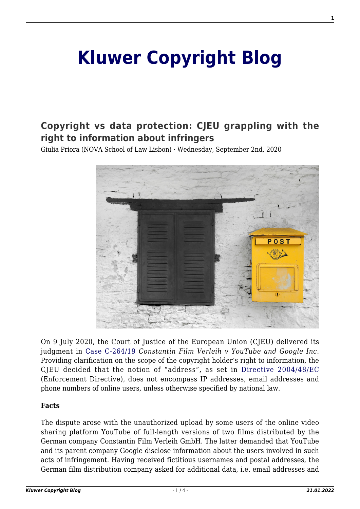# **[Kluwer Copyright Blog](http://copyrightblog.kluweriplaw.com/)**

## **[Copyright vs data protection: CJEU grappling with the](http://copyrightblog.kluweriplaw.com/2020/09/02/copyright-vs-data-protection-cjeu-grappling-with-the-right-to-information-about-infringers/) [right to information about infringers](http://copyrightblog.kluweriplaw.com/2020/09/02/copyright-vs-data-protection-cjeu-grappling-with-the-right-to-information-about-infringers/)**

Giulia Priora (NOVA School of Law Lisbon) · Wednesday, September 2nd, 2020



On 9 July 2020, the Court of Justice of the European Union (CJEU) delivered its judgment in [Case C-264/19](http://curia.europa.eu/juris/liste.jsf?num=C-264/19) *Constantin Film Verleih v YouTube and Google Inc*. Providing clarification on the scope of the copyright holder's right to information, the CJEU decided that the notion of "address", as set in [Directive 2004/48/EC](https://eur-lex.europa.eu/legal-content/EN/TXT/?uri=CELEX%3A32004L0048R%2801%29) (Enforcement Directive), does not encompass IP addresses, email addresses and phone numbers of online users, unless otherwise specified by national law.

#### **Facts**

The dispute arose with the unauthorized upload by some users of the online video sharing platform YouTube of full-length versions of two films distributed by the German company Constantin Film Verleih GmbH. The latter demanded that YouTube and its parent company Google disclose information about the users involved in such acts of infringement. Having received fictitious usernames and postal addresses, the German film distribution company asked for additional data, i.e. email addresses and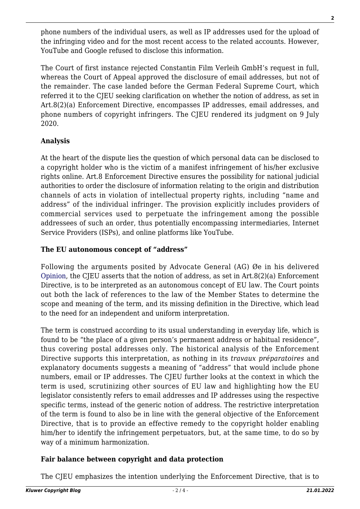phone numbers of the individual users, as well as IP addresses used for the upload of the infringing video and for the most recent access to the related accounts. However, YouTube and Google refused to disclose this information.

The Court of first instance rejected Constantin Film Verleih GmbH's request in full, whereas the Court of Appeal approved the disclosure of email addresses, but not of the remainder. The case landed before the German Federal Supreme Court, which referred it to the CJEU seeking clarification on whether the notion of address, as set in Art.8(2)(a) Enforcement Directive, encompasses IP addresses, email addresses, and phone numbers of copyright infringers. The CJEU rendered its judgment on 9 July 2020.

#### **Analysis**

At the heart of the dispute lies the question of which personal data can be disclosed to a copyright holder who is the victim of a manifest infringement of his/her exclusive rights online. Art.8 Enforcement Directive ensures the possibility for national judicial authorities to order the disclosure of information relating to the origin and distribution channels of acts in violation of intellectual property rights, including "name and address" of the individual infringer. The provision explicitly includes providers of commercial services used to perpetuate the infringement among the possible addressees of such an order, thus potentially encompassing intermediaries, Internet Service Providers (ISPs), and online platforms like YouTube.

#### **The EU autonomous concept of "address"**

Following the arguments posited by Advocate General (AG) Øe in his delivered [Opinion](https://eur-lex.europa.eu/legal-content/EN/TXT/?uri=CELEX:62019CC0264), the CJEU asserts that the notion of address, as set in Art.8(2)(a) Enforcement Directive, is to be interpreted as an autonomous concept of EU law. The Court points out both the lack of references to the law of the Member States to determine the scope and meaning of the term, and its missing definition in the Directive, which lead to the need for an independent and uniform interpretation.

The term is construed according to its usual understanding in everyday life, which is found to be "the place of a given person's permanent address or habitual residence", thus covering postal addresses only. The historical analysis of the Enforcement Directive supports this interpretation, as nothing in its *travaux préparatoires* and explanatory documents suggests a meaning of "address" that would include phone numbers, email or IP addresses. The CJEU further looks at the context in which the term is used, scrutinizing other sources of EU law and highlighting how the EU legislator consistently refers to email addresses and IP addresses using the respective specific terms, instead of the generic notion of address. The restrictive interpretation of the term is found to also be in line with the general objective of the Enforcement Directive, that is to provide an effective remedy to the copyright holder enabling him/her to identify the infringement perpetuators, but, at the same time, to do so by way of a minimum harmonization.

### **Fair balance between copyright and data protection**

The CJEU emphasizes the intention underlying the Enforcement Directive, that is to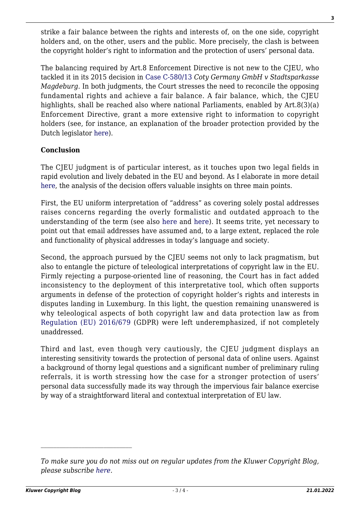strike a fair balance between the rights and interests of, on the one side, copyright holders and, on the other, users and the public. More precisely, the clash is between the copyright holder's right to information and the protection of users' personal data.

The balancing required by Art.8 Enforcement Directive is not new to the CJEU, who tackled it in its 2015 decision in [Case C-580/13](http://curia.europa.eu/juris/liste.jsf?num=C-580/13) *Coty Germany GmbH v Stadtsparkasse Magdeburg*. In both judgments, the Court stresses the need to reconcile the opposing fundamental rights and achieve a fair balance. A fair balance, which, the CJEU highlights, shall be reached also where national Parliaments, enabled by Art.8(3)(a) Enforcement Directive, grant a more extensive right to information to copyright holders (see, for instance, an explanation of the broader protection provided by the Dutch legislator [here](http://ipkitten.blogspot.com/2020/05/waiting-for-constantin-hague-district.html)).

#### **Conclusion**

The CJEU judgment is of particular interest, as it touches upon two legal fields in rapid evolution and lively debated in the EU and beyond. As I elaborate in more detail [here](http://www.medialaws.eu/rivista/catch-me-if-you-can-cjeu-safeguards-the-privacy-of-online-copyright-infringers-in-landmark-decision-constantin-film-verleih-v-youtube/), the analysis of the decision offers valuable insights on three main points.

First, the EU uniform interpretation of "address" as covering solely postal addresses raises concerns regarding the overly formalistic and outdated approach to the understanding of the term (see also [here](http://ipkitten.blogspot.com/2020/04/an-address-by-any-other-name-ag-e.html) and [here\)](http://ipkitten.blogspot.com/2020/07/cjeu-follows-ag-and-rules-that-notion.html). It seems trite, yet necessary to point out that email addresses have assumed and, to a large extent, replaced the role and functionality of physical addresses in today's language and society.

Second, the approach pursued by the CJEU seems not only to lack pragmatism, but also to entangle the picture of teleological interpretations of copyright law in the EU. Firmly rejecting a purpose-oriented line of reasoning, the Court has in fact added inconsistency to the deployment of this interpretative tool, which often supports arguments in defense of the protection of copyright holder's rights and interests in disputes landing in Luxemburg. In this light, the question remaining unanswered is why teleological aspects of both copyright law and data protection law as from [Regulation \(EU\) 2016/679](https://eur-lex.europa.eu/legal-content/IT/TXT/?uri=celex%3A32016R0679) (GDPR) were left underemphasized, if not completely unaddressed.

Third and last, even though very cautiously, the CJEU judgment displays an interesting sensitivity towards the protection of personal data of online users. Against a background of thorny legal questions and a significant number of preliminary ruling referrals, it is worth stressing how the case for a stronger protection of users' personal data successfully made its way through the impervious fair balance exercise by way of a straightforward literal and contextual interpretation of EU law.

*To make sure you do not miss out on regular updates from the Kluwer Copyright Blog, please subscribe [here.](http://copyrightblog.kluweriplaw.com/newsletter)*